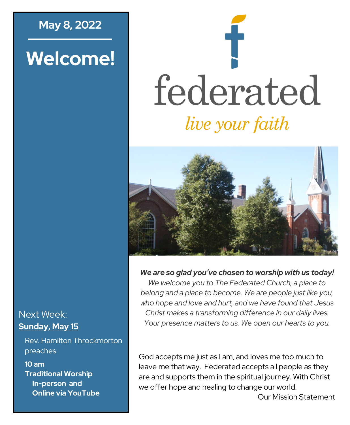### **May 8, 2022**

# **Welcome!**

# federated *live your faith*



#### *We are so glad you've chosen to worship with us today!*

*We welcome you to The Federated Church, a place to belong and a place to become. We are people just like you, who hope and love and hurt, and we have found that Jesus Christ makes a transforming difference in our daily lives. Your presence matters to us. We open our hearts to you.*

God accepts me just as I am, and loves me too much to leave me that way. Federated accepts all people as they are and supports them in the spiritual journey. With Christ we offer hope and healing to change our world.

Next Week: **Sunday, May 15**

Rev. Hamilton Throckmorton preaches

**10 am Traditional Worship In-person and Online via YouTube**

Our Mission Statement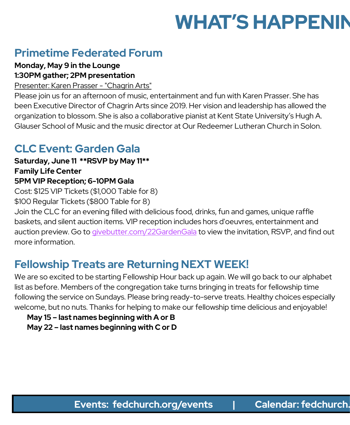# **WHAT'S HAPPENIN**

# **Primetime Federated Forum**

#### **Monday, May 9 in the Lounge 1:30PM gather; 2PM presentation**

#### Presenter: Karen Prasser - "Chagrin Arts"

Please join us for an afternoon of music, entertainment and fun with Karen Prasser. She has been Executive Director of Chagrin Arts since 2019. Her vision and leadership has allowed the organization to blossom. She is also a collaborative pianist at Kent State University's Hugh A. Glauser School of Music and the music director at Our Redeemer Lutheran Church in Solon.

# **CLC Event: Garden Gala**

#### **Saturday, June 11 \*\*RSVP by May 11\*\* Family Life Center**

#### **5PM VIP Reception; 6-10PM Gala**

Cost: \$125 VIP Tickets (\$1,000 Table for 8)

\$100 Regular Tickets (\$800 Table for 8)

Join the CLC for an evening filled with delicious food, drinks, fun and games, unique raffle baskets, and silent auction items. VIP reception includes hors d'oeuvres, entertainment and auction preview. Go to <givebutter.com/22GardenGala> to view the invitation, RSVP, and find out more information.

# **Fellowship Treats are Returning NEXT WEEK!**

We are so excited to be starting Fellowship Hour back up again. We will go back to our alphabet list as before. Members of the congregation take turns bringing in treats for fellowship time following the service on Sundays. Please bring ready-to-serve treats. Healthy choices especially welcome, but no nuts. Thanks for helping to make our fellowship time delicious and enjoyable!

**May 15 – last names beginning with A or B May 22 – last names beginning with C or D**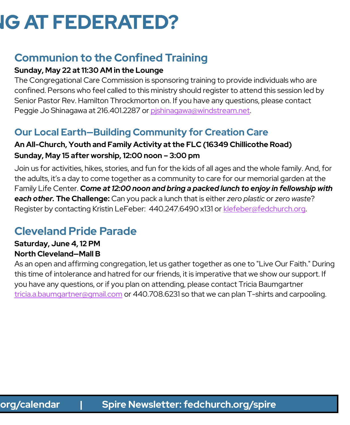# **IG AT FEDERATED?**

# **Communion to the Confined Training**

#### **Sunday, May 22 at 11:30 AM in the Lounge**

The Congregational Care Commission is sponsoring training to provide individuals who are confined. Persons who feel called to this ministry should register to attend this session led by Senior Pastor Rev. Hamilton Throckmorton on. If you have any questions, please contact Peggie Jo Shinagawa at 216.401.2287 or pishinagawa@windstream.net.

## **Our Local Earth—Building Community for Creation Care**

#### **An All-Church, Youth and Family Activity at the FLC (16349 Chillicothe Road) Sunday, May 15 after worship, 12:00 noon – 3:00 pm**

Join us for activities, hikes, stories, and fun for the kids of all ages and the whole family. And, for the adults, it's a day to come together as a community to care for our memorial garden at the Family Life Center. *Come at 12:00 noon and bring a packed lunch to enjoy in fellowship with each other.* **The Challenge:** Can you pack a lunch that is either *zero plastic* or *zero waste*? Register by contacting Kristin LeFeber: 440.247.6490 x131 or [klefeber@fedchurch.org.](mailto:klefeber@fedchurch.org)

## **Cleveland Pride Parade**

#### **Saturday, June 4, 12 PM North Cleveland—Mall B**

As an open and affirming congregation, let us gather together as one to "Live Our Faith." During this time of intolerance and hatred for our friends, it is imperative that we show our support. If you have any questions, or if you plan on attending, please contact Tricia Baumgartner [tricia.a.baumgartner@gmail.com](mailto:tricia.a.baumgartner@gmail.com) or 440.708.6231 so that we can plan T-shirts and carpooling.